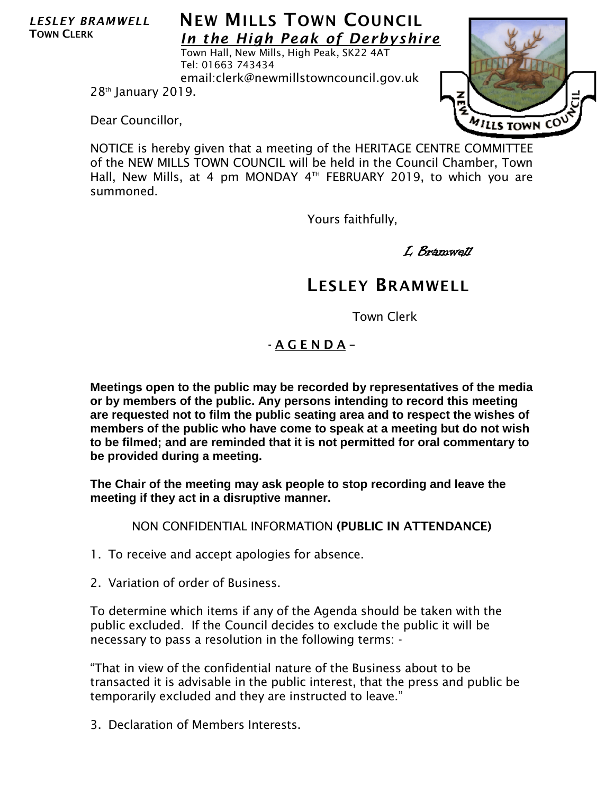*LESLEY BRAMWELL* TOWN CLERK

## **NEW MILLS TOWN COUNCIL** *In the High Peak of Derbyshire*

Town Hall, New Mills, High Peak, SK22 4AT Tel: 01663 743434 email:clerk@newmillstowncouncil.gov.uk

28th January 2019.

Dear Councillor,

NOTICE is hereby given that a meeting of the HERITAGE CENTRE COMMITTEE of the NEW MILLS TOWN COUNCIL will be held in the Council Chamber, Town Hall, New Mills, at 4 pm MONDAY  $4<sup>TH</sup>$  FEBRUARY 2019, to which you are summoned.

Yours faithfully,

L Bramwell

## LESLEY BRAMWELL

Town Clerk

## - A G E N D A –

**Meetings open to the public may be recorded by representatives of the media or by members of the public. Any persons intending to record this meeting are requested not to film the public seating area and to respect the wishes of members of the public who have come to speak at a meeting but do not wish to be filmed; and are reminded that it is not permitted for oral commentary to be provided during a meeting.**

**The Chair of the meeting may ask people to stop recording and leave the meeting if they act in a disruptive manner.**

NON CONFIDENTIAL INFORMATION (PUBLIC IN ATTENDANCE)

- 1. To receive and accept apologies for absence.
- 2. Variation of order of Business.

To determine which items if any of the Agenda should be taken with the public excluded. If the Council decides to exclude the public it will be necessary to pass a resolution in the following terms: -

"That in view of the confidential nature of the Business about to be transacted it is advisable in the public interest, that the press and public be temporarily excluded and they are instructed to leave."

3. Declaration of Members Interests.